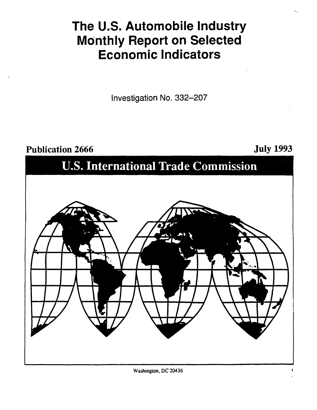# The U.S. Automobile Industry Monthly Report on Selected Economic Indicators

Investigation No. 332-207

Publication 2666 July 1993



Washington, DC 20436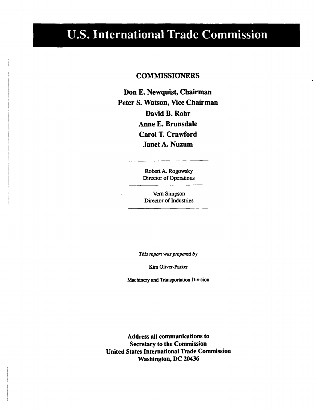# U.S. International Trade Commission

# **COMMISSIONERS**

Don E. Newquist, Chairman Peter S. Watson, Vice Chairman David B. Rohr Anne E. Brunsdale Carol T. Crawford Janet A. Nuzum

> Robert A. Rogowsky Director of Operations

Vern Simpson Director of Industries

*This report was prepared by* 

Kim Oliver-Parker

Machinery and Transportation Division

Address all communications to Secretary to the Commission United States International Trade Commission Washington, DC 20436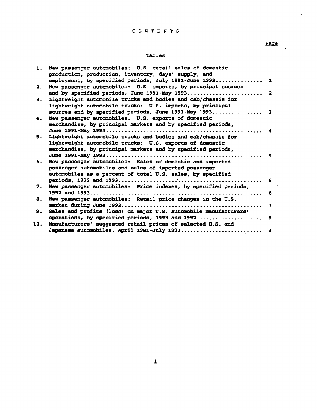# CONTENTS·

 $\overline{\phantom{a}}$ 

# Tables

| $\mathbf{1}$ .            | New passenger automobiles: U.S. retail sales of domestic<br>production, production, inventory, days' supply, and |                |
|---------------------------|------------------------------------------------------------------------------------------------------------------|----------------|
|                           | employment, by specified periods, July 1991-June 1993 1                                                          |                |
| $\overline{\mathbf{2}}$ . | New passenger automobiles: U.S. imports, by principal sources                                                    |                |
| 3.                        | Lightweight automobile trucks and bodies and cab/chassis for                                                     |                |
|                           | lightweight automobile trucks: U.S. imports, by principal                                                        |                |
|                           | sources and by specified periods, June 1991-May 1993 3                                                           |                |
| 4.                        | New passenger automobiles: U.S. exports of domestic                                                              |                |
|                           | merchandise, by principal markets and by specified periods,                                                      |                |
| 5.                        | Lightweight automobile trucks and bodies and cab/chassis for                                                     |                |
|                           | lightweight automobile trucks: U.S. exports of domestic                                                          |                |
|                           | merchandise, by principal markets and by specified periods,                                                      |                |
|                           |                                                                                                                  |                |
| б.                        | New passenger automobiles: Sales of domestic and imported                                                        |                |
|                           | passenger automobiles and sales of imported passenger                                                            |                |
|                           | automobiles as a percent of total U.S. sales, by specified                                                       |                |
|                           | New passenger automobiles: Price indexes, by specified periods,                                                  | - 6            |
| 7.                        |                                                                                                                  |                |
| 8.                        | New passenger automobiles: Retail price changes in the U.S.                                                      |                |
|                           |                                                                                                                  | $\overline{7}$ |
| 9.                        | Sales and profits (loss) on major U.S. automobile manufacturers'                                                 |                |
|                           | operations, by specified periods, 1993 and 1992                                                                  | - 8            |
| 10.                       | Manufacturers' suggested retail prices of selected U.S. and                                                      |                |
|                           | Japanese automobiles, April 1981-July 1993                                                                       | 9              |

Page

 $\overline{a}$ 

 $\propto \omega$ 

 $\frac{1}{2} \sum_{i=1}^{n} \frac{1}{2} \sum_{j=1}^{n} \frac{1}{2} \sum_{j=1}^{n} \frac{1}{2} \sum_{j=1}^{n} \frac{1}{2} \sum_{j=1}^{n} \frac{1}{2} \sum_{j=1}^{n} \frac{1}{2} \sum_{j=1}^{n} \frac{1}{2} \sum_{j=1}^{n} \frac{1}{2} \sum_{j=1}^{n} \frac{1}{2} \sum_{j=1}^{n} \frac{1}{2} \sum_{j=1}^{n} \frac{1}{2} \sum_{j=1}^{n} \frac{1}{2} \sum_{j=1}^{n$ 

 $\sim$   $\sim$ 

 $\bar{z}$ 

 $\mathbb{Z}^2$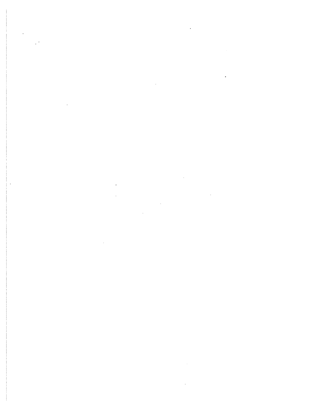$\label{eq:2.1} \mathcal{L}(\mathcal{L}^{\mathcal{L}}_{\mathcal{L}}(\mathcal{L}^{\mathcal{L}}_{\mathcal{L}})) = \mathcal{L}(\mathcal{L}^{\mathcal{L}}_{\mathcal{L}}(\mathcal{L}^{\mathcal{L}}_{\mathcal{L}})) = \mathcal{L}(\mathcal{L}^{\mathcal{L}}_{\mathcal{L}}(\mathcal{L}^{\mathcal{L}}_{\mathcal{L}}))$  $\mathcal{A}^{\text{max}}_{\text{max}}$  $\label{eq:2.1} \frac{1}{2} \int_{\mathbb{R}^3} \frac{1}{2} \int_{\mathbb{R}^3} \frac{1}{2} \int_{\mathbb{R}^3} \frac{1}{2} \int_{\mathbb{R}^3} \frac{1}{2} \int_{\mathbb{R}^3} \frac{1}{2} \int_{\mathbb{R}^3} \frac{1}{2} \int_{\mathbb{R}^3} \frac{1}{2} \int_{\mathbb{R}^3} \frac{1}{2} \int_{\mathbb{R}^3} \frac{1}{2} \int_{\mathbb{R}^3} \frac{1}{2} \int_{\mathbb{R}^3} \frac$ 

 $\label{eq:2.1} \mathcal{L}(\mathcal{L}^{\text{max}}_{\mathcal{L}}(\mathcal{L}^{\text{max}}_{\mathcal{L}}),\mathcal{L}^{\text{max}}_{\mathcal{L}}(\mathcal{L}^{\text{max}}_{\mathcal{L}}))\leq \mathcal{L}(\mathcal{L}^{\text{max}}_{\mathcal{L}}(\mathcal{L}^{\text{max}}_{\mathcal{L}}))$ 

 $\mathbf{A}^{(1)}$  and  $\mathbf{A}^{(2)}$  and  $\mathbf{A}^{(3)}$  and  $\mathbf{A}^{(4)}$ 

 $\mathcal{O}(\mathcal{O}_\mathcal{O})$  . The set of the set of the set of the set of the set of the  $\mathcal{O}(\mathcal{O}_\mathcal{O})$ 

 $\label{eq:2.1} \frac{1}{\sqrt{2}}\int_{\mathbb{R}^3}\frac{1}{\sqrt{2}}\left(\frac{1}{\sqrt{2}}\right)^2\frac{1}{\sqrt{2}}\left(\frac{1}{\sqrt{2}}\right)^2\frac{1}{\sqrt{2}}\left(\frac{1}{\sqrt{2}}\right)^2\frac{1}{\sqrt{2}}\left(\frac{1}{\sqrt{2}}\right)^2\frac{1}{\sqrt{2}}\left(\frac{1}{\sqrt{2}}\right)^2\frac{1}{\sqrt{2}}\left(\frac{1}{\sqrt{2}}\right)^2\frac{1}{\sqrt{2}}\left(\frac{1}{\sqrt{2}}\right)^2\frac{1}{\sqrt{$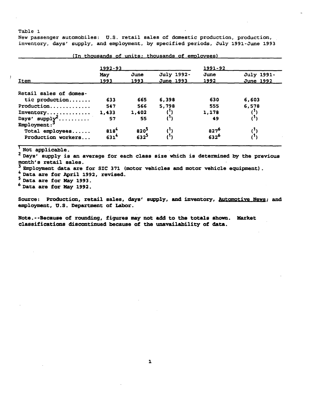New passenger automobiles: U.S. retail sales of domestic production, production, inventory, days' supply, and employment, by specified periods, July 1991-June 1993

|                                        | 1992-93          |               |               | 1991-92   |                 |  |
|----------------------------------------|------------------|---------------|---------------|-----------|-----------------|--|
|                                        | May              | June          | July 1992-    | June      | July 1991-      |  |
| Item                                   | 1993             | <u> 1993 </u> | June 1993     | 1992      | June 1992       |  |
| Retail sales of domes-                 |                  |               |               |           |                 |  |
| tic production                         | 633              | 665           | 6,398         | 630       | 6,603           |  |
| Production                             | 547              | 566           | 5,798         | 555       | 6,578           |  |
| Inventory                              | 1,433            | 1,402         |               | 1,178     | $\mathcal{C}^1$ |  |
| Days' $\text{supply}^2$<br>Employment: | 57               | 55            |               | 49        |                 |  |
|                                        |                  |               |               |           |                 |  |
| Total employees                        | 818 <sup>4</sup> | $820^{5}$     | $\mathcal{C}$ | $827^{6}$ | $\mathcal{C}^1$ |  |
| Production workers                     | 631 <sup>4</sup> | $632^{5}$     |               | $632^{6}$ |                 |  |

(In thousands of units; thousands of employees)

Not applicable.<br><sup>2</sup> Days' supply is an average for each class size which is determined by the previous<br>month's retail sales.

 $\frac{3}{4}$  Employment data are for SIC 371 (motor vehicles and motor vehicle equipment).<br> $\frac{4}{5}$  Data are for May 1993.<br>5 Data are for May 1993.

<sup>6</sup> Data are for May 1992.

Source: Production, retail sales, days' supply, and inventory, Automotive News; and employment, U.S. Department of Labor.

Note.--Because of rounding, figures may not add to the totals shown. Market classifications discontinued because of the unavailability of data.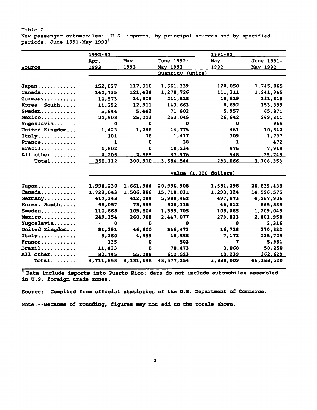New passenger automobiles: U.S. imports. by principal sources and by specified periods, June 1991-May 1993<sup>1</sup>

|                            | 1992-93               |           | 1991-92                 |              |            |  |  |  |
|----------------------------|-----------------------|-----------|-------------------------|--------------|------------|--|--|--|
|                            | Apr.                  | May       | June 1992-              | May          | June 1991- |  |  |  |
| <u>Source</u>              | 1993                  | 1993      | <u>May 1993</u>         | 1992         | May 1992   |  |  |  |
|                            |                       |           | <b>Ouantity (units)</b> |              |            |  |  |  |
| Japan                      | 152,027               | 117,016   | 1,661,339               | 120,050      | 1,745,065  |  |  |  |
| Canada                     | 140,735               | 121,434   | 1,278,726               | 111,311      | 1,241,945  |  |  |  |
| Germany                    | 14,573                | 14,905    | 211,518                 | 18,619       | 181,315    |  |  |  |
| Korea, South               | 11,292                | 12,911    | 143,663                 | 8,692        | 153,399    |  |  |  |
| Sweden                     | 5,644                 | 5,442     | 71,802                  | 5,957        | 65,871     |  |  |  |
| Mexico                     | 24,508                | 25,013    | 253,045                 | 26,642       | 269,311    |  |  |  |
| Yugoslavia                 | $\mathbf o$           | o         | 0                       | 0            | 965        |  |  |  |
| United Kingdom             | 1,423                 | 1,246     | 14,775                  | 461          | 10,542     |  |  |  |
| Italy                      | 101                   | 78        | 1,417                   | 309          | 1,797      |  |  |  |
| $France \dots \dots \dots$ | 1                     | 0         | 38                      | $\mathbf{1}$ | 472        |  |  |  |
| Brazil                     | 1,602                 | 0         | 10,234                  | 476          | 7,918      |  |  |  |
| All other                  | 4,206                 | 2,865     | 37,976                  | 548          | 29,746     |  |  |  |
| $Total$                    | 356,112               | 300,910   | 3,684,544               | 293,066      | 3,708,353  |  |  |  |
|                            | Value (1,000 dollars) |           |                         |              |            |  |  |  |
| Japan                      | 1,994,230             | 1,661,944 | 20,996,908              | 1,581,298    | 20,839,438 |  |  |  |
| Canada                     | 1,723,043             | 1,506,886 | 15,710,031              | 1,293,324    | 14,596,575 |  |  |  |
| Germany                    | 417,343               | 412,044   | 5,980,462               | 497,473      | 4,967,906  |  |  |  |
| Korea, South               | 68,057                | 73,345    | 808,335                 | 46,812       | 865,835    |  |  |  |
| Sweden                     | 110,668               | 109,604   | 1,355,705               | 108,065      | 1,209,043  |  |  |  |
| Mexico                     | 249,354               | 260,768   | 2,447,077               | 273,823      | 2,801,958  |  |  |  |
| Yugoslavia                 | $\mathbf o$           | 0         | 0                       | 0            | 2,316      |  |  |  |
| United Kingdom             | 51,391                | 46,600    | 546,473                 | 16,728       | 370,832    |  |  |  |
| Italy                      | 5,260                 | 4,959     | 48,555                  | 7,172        | 115,725    |  |  |  |
| $Frame \dots \dots \dots$  | 135                   | 0         | 502                     | 7            | 5,951      |  |  |  |
| Brazil                     | 11,433                | ٥         | 70,473                  | 3,068        | 50,250     |  |  |  |
| All other                  | 80,745                | 55,048    | 612,523                 | 10.239       | 362,629    |  |  |  |
| $Total$                    | 4,711,658             | 4,131,198 | 48,577,154              | 3,838,009    | 46,188,520 |  |  |  |

<sup>1</sup> Data include imports into Puerto Rico; data do not include automobiles assembled in O.S. foreign trade zones.

Source: Compiled from official statistics of the U.S. Department of Commerce.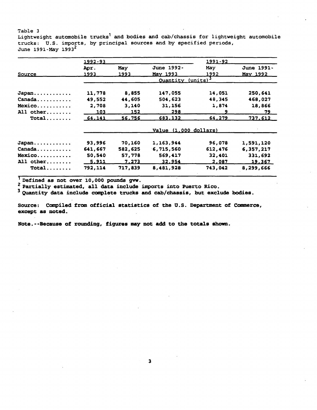Lightweight automobile trucks<sup>1</sup> and bodies and cab/chassis for lightweight automobile trucks: U.S. imports, by principal sources and by specified periods, June 1991-May 1993<sup>2</sup>

|           | 1992-93               |         |                               | 1991-92 |            |  |  |
|-----------|-----------------------|---------|-------------------------------|---------|------------|--|--|
|           | Apr.                  | May     | June 1992-                    | May     | June 1991- |  |  |
| Source    | 1993                  | 1993    | May 1993                      | 1992    | May 1992   |  |  |
|           |                       |         | Ouantity (units) <sup>3</sup> |         |            |  |  |
| Japan     | 11,778                | 8,855   | 147,055                       | 14,051  | 250,641    |  |  |
| Canada    | 49,552                | 44,605  | 504,623                       | 48,345  | 468,027    |  |  |
| Mexico    | 2,708                 | 3,140   | 31,156                        | 1,874   | 18,866     |  |  |
| All other | 103                   | 152     | 298                           |         | 79         |  |  |
| $Total$   | 64,141                | 56,756  | 683,132                       | 64,279  | 737,612    |  |  |
|           | Value (1,000 dollars) |         |                               |         |            |  |  |
| Japan     | 93,996                | 70,160  | 1,163,944                     | 96,078  | 1,591,120  |  |  |
| Canada.   | 641,667               | 582,625 | 6,715,560                     | 612,476 | 6,357,217  |  |  |
| Mexico    | 50,540                | 57,778  | 569,417                       | 32,401  | 331,692    |  |  |
| All other | 5,911                 | 7,273   | 32,954                        | 2,087   | 19,367     |  |  |
| Total     | 792,114               | 717,839 | 8,481,928                     | 743,042 | 8,299,666  |  |  |

1 Defined as not over 10,000 pounds gvw.<br>2 Partially estimated, all data include imports into Puerto Rico.

<sup>3</sup> Quantity data include complete trucks and cab/chassis, but exclude bodies.

Source: Compiled from official statistics of the U.S. Department of Commerce, except as noted.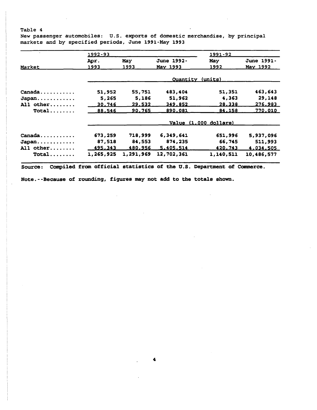New passenger automobiles: U.S. exports of domestic merchandise, by principal markets and by specified periods, June 1991-May 1993

|           | 1992-93               |                |            | $1991 - 92$ |                |  |  |  |
|-----------|-----------------------|----------------|------------|-------------|----------------|--|--|--|
|           | Apr.                  | May            | June 1992- | May         | June 1991-     |  |  |  |
| Market    | 1993                  | 1993           | May 1993   | 1992        | May 1992       |  |  |  |
|           | Ouantity (units)      |                |            |             |                |  |  |  |
| Canada    | 51,952                | 55,751         | 483,404    | 51,351      | 463,643        |  |  |  |
| Japan     | 5,265                 | 5,186          | 51,962     | 4,363       | 29,148         |  |  |  |
| All other | 30,746                | 29,532         | 349,852    | 28,338      | 276,983        |  |  |  |
| $Total$   | 88,546                | 90,765         | 890.081    | 84,158      | <u>770,010</u> |  |  |  |
|           | Value (1,000 dollars) |                |            |             |                |  |  |  |
| Canada.   | 673,259               | 718,999        | 6,349,641  | 651,996     | 5,937,096      |  |  |  |
| Japan     | 87,518                | 84,553         | 874,235    | 66,745      | 511,993        |  |  |  |
| All other | 495,343               | <u>480.956</u> | 5,405,514  | 420,743     | 4,034,505      |  |  |  |
| $Total$   | 1,265,925             | 1,291,969      | 12,702,361 | 1,140,511   | 10,486,577     |  |  |  |
|           |                       |                |            |             |                |  |  |  |

source: Compiled fran official statistics of the U.S. Department of Commerce.

4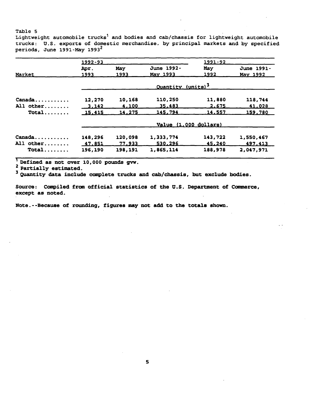Lightweight automobile  $true\&s<sup>1</sup>$  and bodies and  $cab/chassis$  for lightweight automobile trucks: U.S. exports of domestic merchandise. by principal markets and by specified periods, June 1991-May 1993<sup>2</sup>

|           | 1992-93 |         |                               | 1991-92 |                 |
|-----------|---------|---------|-------------------------------|---------|-----------------|
|           | Apr.    | May     | June 1992-                    | May     | June 1991-      |
| Market    | 1993    | 1993    | May 1993                      | 1992    | <u>May 1992</u> |
|           |         |         | Quantity (units) <sup>3</sup> |         |                 |
| Canada    | 12,270  | 10,168  | 110,250                       | 11,880  | 118,744         |
| All other | 3,142   | 4,100   | 35,483                        | 2,675   | 41,028          |
| $Total$   | 15,415  | 14,275  | 145,794                       | 14,557  | 159,780         |
|           |         |         | Value (1,000 dollars)         |         |                 |
| $Canada$  | 148,296 | 120,098 | 1,333,774                     | 143,722 | 1,550,467       |
| All other | 47,851  | 77,933  | 530,296                       | 45,240  | 497,413         |
| $Total$   | 196,190 | 198.191 | 1,865,114                     | 188,978 | 2,047,971       |

Defined as not over 10,000 pounds gvw.

3 Quantity data include complete trucks and cab/chassis, but exclude bodies.

Source: Compiled from official statistics of the U.S. Department of Commerce, except as noted.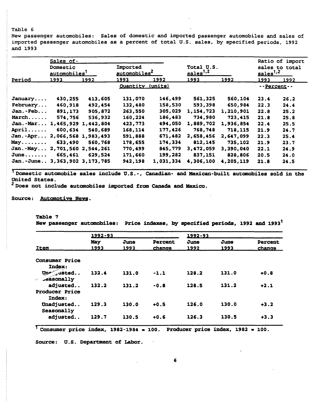New passenger automobiles: Sales of domestic and imported passenger automobiles and sales of imported passenger automobiles as a percent of total U.S. sales, by specified periods, 1992 and 1993

|                                   | Sales of-           |         |                          |           |                      |               |               | Ratio of import |
|-----------------------------------|---------------------|---------|--------------------------|-----------|----------------------|---------------|---------------|-----------------|
|                                   | Domestic            |         | Imported                 |           | Total U.S.           |               |               | sales to total  |
|                                   | automobiles'        |         | automobiles <sup>2</sup> |           | sales <sup>1,2</sup> |               | $galeg^{1,2}$ |                 |
| <b>Period</b>                     | <u> 1993 </u>       | 1992    | <u> 1993 </u>            | 1992      | <u> 1993 </u>        | <u> 1992 </u> | <u> 1993 </u> | <u> 1992 </u>   |
|                                   |                     |         | Ouantity (units)         |           |                      |               |               | -- Percent--    |
| January                           | 430,255             | 413,605 | 131,070                  | 146,499   | 561,325              | 560,104       | 23.4          | 26.2            |
| February                          | 460,918             | 492,454 | 132,480                  | 158,530   | 593,398              | 650,984       | 22.3          | 24.4            |
| $Jan.-Feb$                        | 891,173             | 905,872 | 263,550                  | 305,029   | 1,154,723            | 1,210,901     | 22.8          | 25.2            |
| March                             | 574,756             | 536,932 | 160,224                  | 186,483   | 734,980              | 723,415       | 21.8          | 25.8            |
| Jan.-Mar 1,465,929 1,442,804      |                     |         | 423,773                  | 494,050   | 1,889,702            | 1,936,854     | 22.4          | 25.5            |
| April                             | 600,634             | 540,689 | 168,114                  | 177,426   | 768,748              | 718,115       | 21.9          | 24.7            |
| $Jan.-Apr$                        | 2,066,568 1,983,493 |         | 591,888                  | 671,482   | 2,658,456            | 2,647,099     | 22.3          | 25.4            |
| May                               | 633,490             | 560,768 | 178,655                  | 174,334   | 812,145              | 735,102       | 21.9          | 23.7            |
| Jan.-May 2,701,560 2,544,261      |                     |         | 770,499                  | 845,779   | 3,472,059            | 3,390,040     | 22.1          | 24.9            |
| $June \dots \dots$                | 665,461             | 629,524 | 171,660                  | 199,282   | 837,151              | 828,806       | 20.5          | 24.0            |
| Jan.-June 3, 363, 902 3, 173, 785 |                     |         | 942,198                  | 1,031,334 | 4,306,100            | 4,205,119     | 21.8          | 24.5            |

Domestic automobile sales include U.S.-, Canadian- and Mexican-built automobiles sold in the United States.

<sup>2</sup> Does not include automobiles imported from Canada and Mexico.

Source: Automotive News.

### Table 7

New passenger automobiles: Price indexes, by specified periods, 1992 and 1993<sup>1</sup>

|                                      | <u> 1992-93</u> |               |         | <u> 1992-93</u> |               |         |
|--------------------------------------|-----------------|---------------|---------|-----------------|---------------|---------|
|                                      | May             | June          | Percent | June            | June          | Percent |
| Item                                 | 1993            | <u> 1993 </u> | change  | <u> 1992 </u>   | <u> 1993 </u> | change  |
| Consumer Price<br>Index:             |                 |               |         |                 |               |         |
| Unprovisted                          | 132.4           | 131.0         | $-1.1$  | 128.2           | 131.0         | $+0.8$  |
| adjusted<br>Producer Price<br>Index: | 132.2           | 131.2         | $-0.8$  | 128.5           | 131.2         | $+2.1$  |
| Unadjusted<br>Seasonally             | 129.3           | 130.0         | $+0.5$  | 126.0           | 130.0         | $+3.2$  |
| adjusted                             | 129.7           | 130.5         | $+0.6$  | 126.3           | 130.5         | $+3.3$  |

<sup>1</sup> Consumer price index,  $1982 - 1984 = 100$ . Producer price index,  $1982 = 100$ .

 $\sim 10^{-11}$ 

Source: U.S. Department of Labor.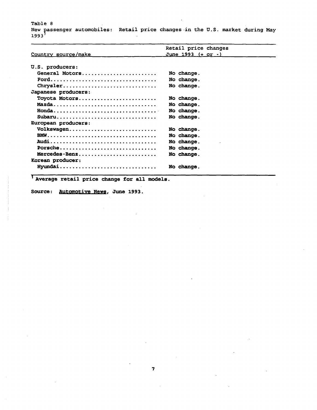New fassenger automobiles: Retail price changes ·in the U.S. market during May 1993

|                     | Retail price changes      |
|---------------------|---------------------------|
| Country source/make | <u>June 1993 (+ or -)</u> |
| U.S. producers:     |                           |
| General Motors      | No change.                |
|                     | No change.                |
| Chrysler            | No change.                |
| Japanese producers: |                           |
| Toyota Motors       | No change.                |
| Mazda               | No change.                |
| Honda               | No change.                |
| Subaru              | No change.                |
| European producers: |                           |
| Volkswagen          | No change.                |
|                     | No change.                |
|                     | No change.                |
| Porsche             | No change.                |
| Mercedes-Benz       | No change.                |
| Korean producer:    |                           |
| Hyundai             | No change.                |

1 Average retail price change for all models.

Source: Automotive News, June 1993.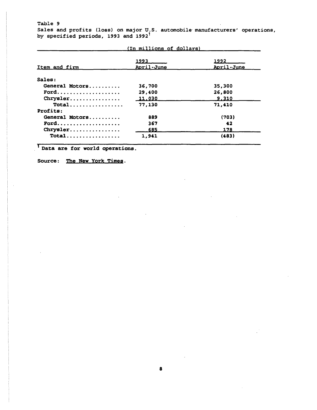Sales and profits (loss) on major U.S. automobile manufacturers' operations, by specified periods, 1993 and 1992 $^{\rm 1}$ 

| 1993       | 1992                     |
|------------|--------------------------|
| April-June | April-June               |
|            |                          |
| 36,700     | 35,300                   |
| 29,400     | 26,800                   |
| 11,030     | 9,310                    |
| 77.130     | 71,410                   |
|            |                          |
| 889        | (703)                    |
| 367        | 42                       |
| 685        | 178                      |
| 1,941      | (483)                    |
|            | (In millions of dollars) |

Data are for world operations.

Source: The New York Times.